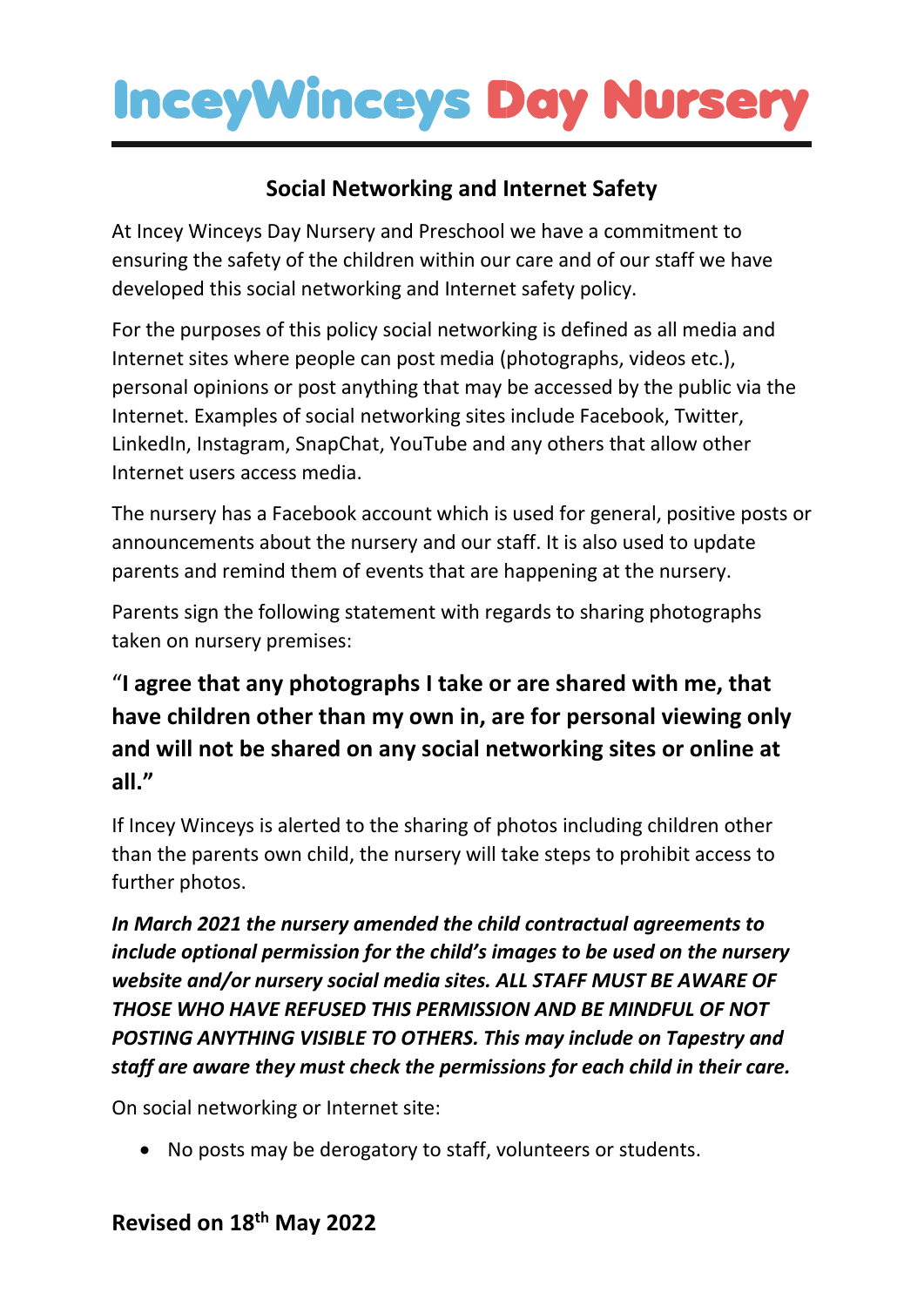## **InceyWinceys Day Nurser**

### **Social Networking and Internet Safety**

At Incey Winceys Day Nursery and Preschool we have a commitment to ensuring the safety of the children within our care and of our staff we have developed this social networking and Internet safety policy.

For the purposes of this policy social networking is defined as all media and Internet sites where people can post media (photographs, videos etc.), personal opinions or post anything that may be accessed by the public via the Internet. Examples of social networking sites include Facebook, Twitter, LinkedIn, Instagram, SnapChat, YouTube and any others that allow other Internet users access media.

The nursery has a Facebook account which is used for general, positive posts or announcements about the nursery and our staff. It is also used to update parents and remind them of events that are happening at the nursery.

Parents sign the following statement with regards to sharing photographs taken on nursery premises:

## "**I agree that any photographs I take or are shared with me, that have children other than my own in, are for personal viewing only and will not be shared on any social networking sites or online at all."**

If Incey Winceys is alerted to the sharing of photos including children other than the parents own child, the nursery will take steps to prohibit access to further photos.

*In March 2021 the nursery amended the child contractual agreements to include optional permission for the child's images to be used on the nursery website and/or nursery social media sites. ALL STAFF MUST BE AWARE OF THOSE WHO HAVE REFUSED THIS PERMISSION AND BE MINDFUL OF NOT POSTING ANYTHING VISIBLE TO OTHERS. This may include on Tapestry and staff are aware they must check the permissions for each child in their care.*

On social networking or Internet site:

• No posts may be derogatory to staff, volunteers or students.

#### **Revised on 18th May 2022**